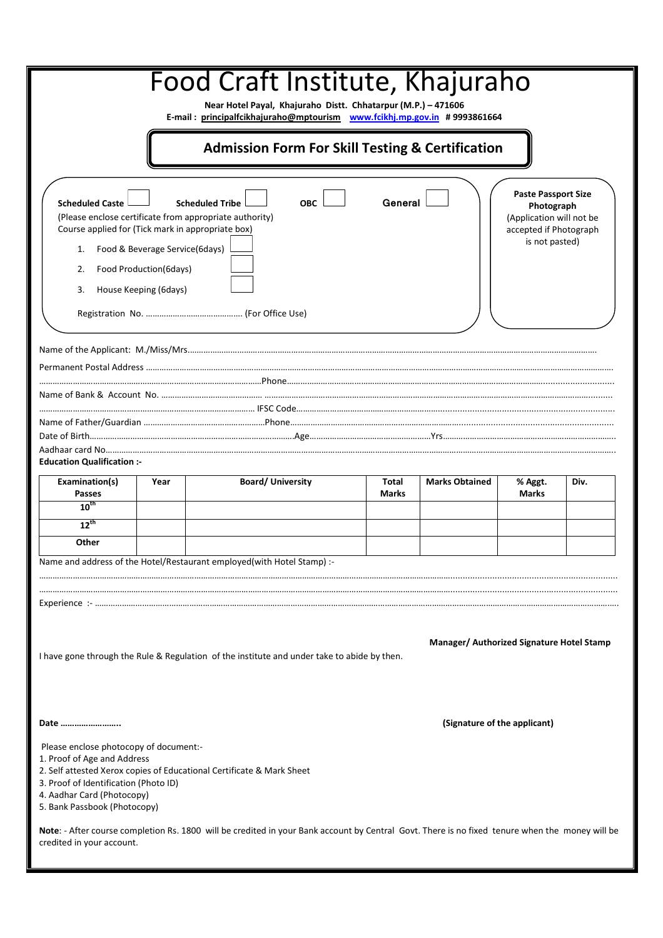| Food Craft Institute, Khajuraho<br>Near Hotel Payal, Khajuraho Distt. Chhatarpur (M.P.) - 471606                                                                                                                                                                                                                                                                                                                     |      |                                                                        |                              |                       |                         |      |
|----------------------------------------------------------------------------------------------------------------------------------------------------------------------------------------------------------------------------------------------------------------------------------------------------------------------------------------------------------------------------------------------------------------------|------|------------------------------------------------------------------------|------------------------------|-----------------------|-------------------------|------|
| E-mail: principalfcikhajuraho@mptourism www.fcikhj.mp.gov.in #9993861664                                                                                                                                                                                                                                                                                                                                             |      |                                                                        |                              |                       |                         |      |
| <b>Admission Form For Skill Testing &amp; Certification</b>                                                                                                                                                                                                                                                                                                                                                          |      |                                                                        |                              |                       |                         |      |
| <b>Paste Passport Size</b><br><b>Scheduled Caste</b><br>General<br><b>Scheduled Tribe</b><br><b>OBC</b><br>Photograph<br>(Please enclose certificate from appropriate authority)<br>(Application will not be<br>Course applied for (Tick mark in appropriate box)<br>accepted if Photograph<br>is not pasted)<br>Food & Beverage Service(6days)<br>1.<br>Food Production(6days)<br>2.<br>3.<br>House Keeping (6days) |      |                                                                        |                              |                       |                         |      |
|                                                                                                                                                                                                                                                                                                                                                                                                                      |      |                                                                        |                              |                       |                         |      |
|                                                                                                                                                                                                                                                                                                                                                                                                                      |      |                                                                        |                              |                       |                         |      |
|                                                                                                                                                                                                                                                                                                                                                                                                                      |      |                                                                        |                              |                       |                         |      |
|                                                                                                                                                                                                                                                                                                                                                                                                                      |      |                                                                        |                              |                       |                         |      |
| <b>Education Qualification :-</b>                                                                                                                                                                                                                                                                                                                                                                                    |      |                                                                        |                              |                       |                         |      |
| Examination(s)<br><b>Passes</b>                                                                                                                                                                                                                                                                                                                                                                                      | Year | <b>Board/University</b>                                                | <b>Total</b><br><b>Marks</b> | <b>Marks Obtained</b> | % Aggt.<br><b>Marks</b> | Div. |
| $10^{th}$                                                                                                                                                                                                                                                                                                                                                                                                            |      |                                                                        |                              |                       |                         |      |
| $12^{th}$<br>Other                                                                                                                                                                                                                                                                                                                                                                                                   |      |                                                                        |                              |                       |                         |      |
|                                                                                                                                                                                                                                                                                                                                                                                                                      |      | Name and address of the Hotel/Restaurant employed(with Hotel Stamp) :- |                              |                       |                         |      |
|                                                                                                                                                                                                                                                                                                                                                                                                                      |      |                                                                        |                              |                       |                         |      |
|                                                                                                                                                                                                                                                                                                                                                                                                                      |      |                                                                        |                              |                       |                         |      |
|                                                                                                                                                                                                                                                                                                                                                                                                                      |      |                                                                        |                              |                       |                         |      |
| Manager/ Authorized Signature Hotel Stamp<br>I have gone through the Rule & Regulation of the institute and under take to abide by then.                                                                                                                                                                                                                                                                             |      |                                                                        |                              |                       |                         |      |
| (Signature of the applicant)<br>Date                                                                                                                                                                                                                                                                                                                                                                                 |      |                                                                        |                              |                       |                         |      |
| Please enclose photocopy of document:-<br>1. Proof of Age and Address<br>3. Proof of Identification (Photo ID)<br>4. Aadhar Card (Photocopy)<br>5. Bank Passbook (Photocopy)                                                                                                                                                                                                                                         |      | 2. Self attested Xerox copies of Educational Certificate & Mark Sheet  |                              |                       |                         |      |
| Note: - After course completion Rs. 1800 will be credited in your Bank account by Central Govt. There is no fixed tenure when the money will be<br>credited in your account.                                                                                                                                                                                                                                         |      |                                                                        |                              |                       |                         |      |